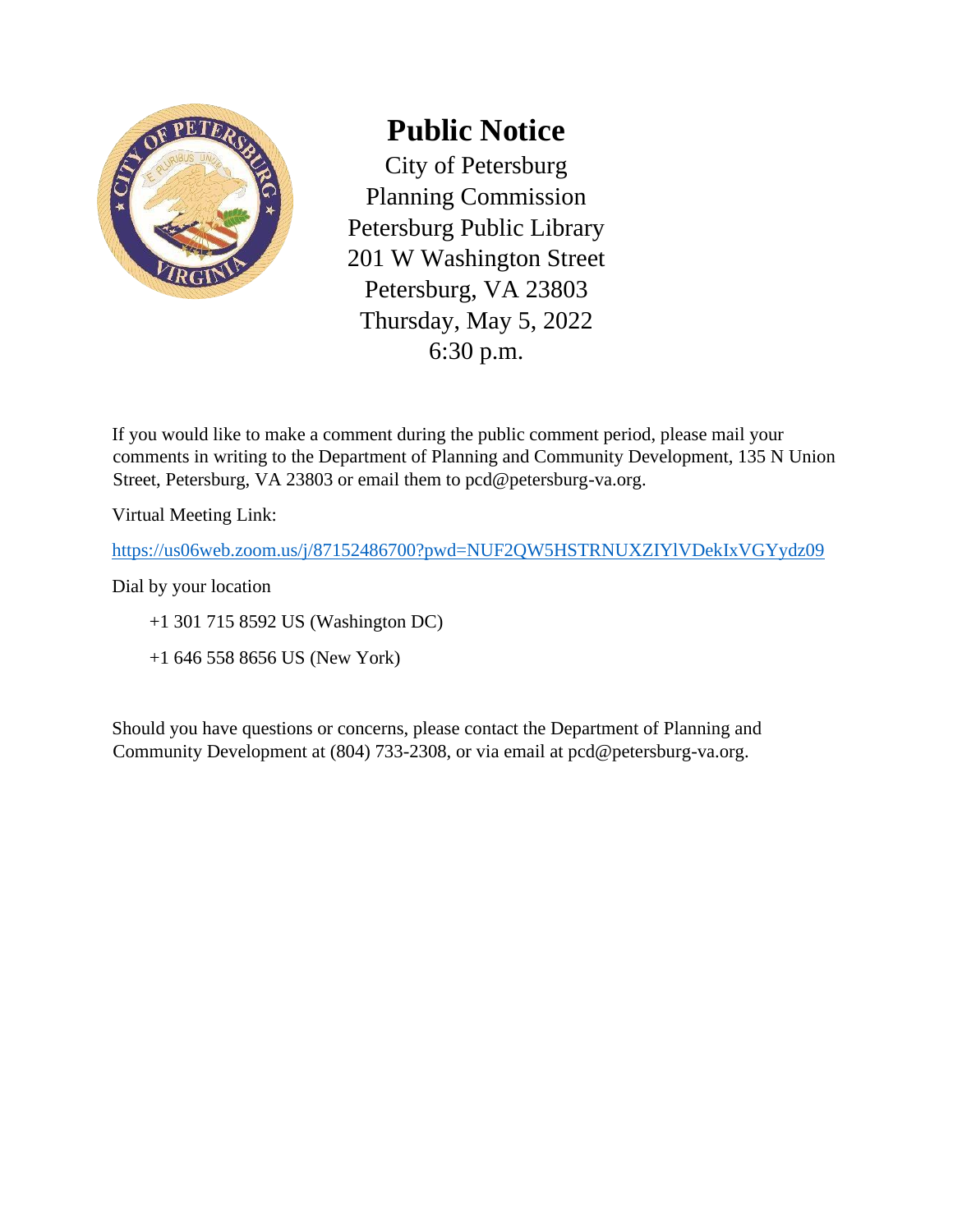

## **Public Notice**

City of Petersburg Planning Commission Petersburg Public Library 201 W Washington Street Petersburg, VA 23803 Thursday, May 5, 2022 6:30 p.m.

If you would like to make a comment during the public comment period, please mail your comments in writing to the Department of Planning and Community Development, 135 N Union Street, Petersburg, VA 23803 or email them to pcd@petersburg-va.org.

Virtual Meeting Link:

<https://us06web.zoom.us/j/87152486700?pwd=NUF2QW5HSTRNUXZIYlVDekIxVGYydz09>

Dial by your location

+1 301 715 8592 US (Washington DC)

+1 646 558 8656 US (New York)

Should you have questions or concerns, please contact the Department of Planning and Community Development at (804) 733-2308, or via email at pcd@petersburg-va.org.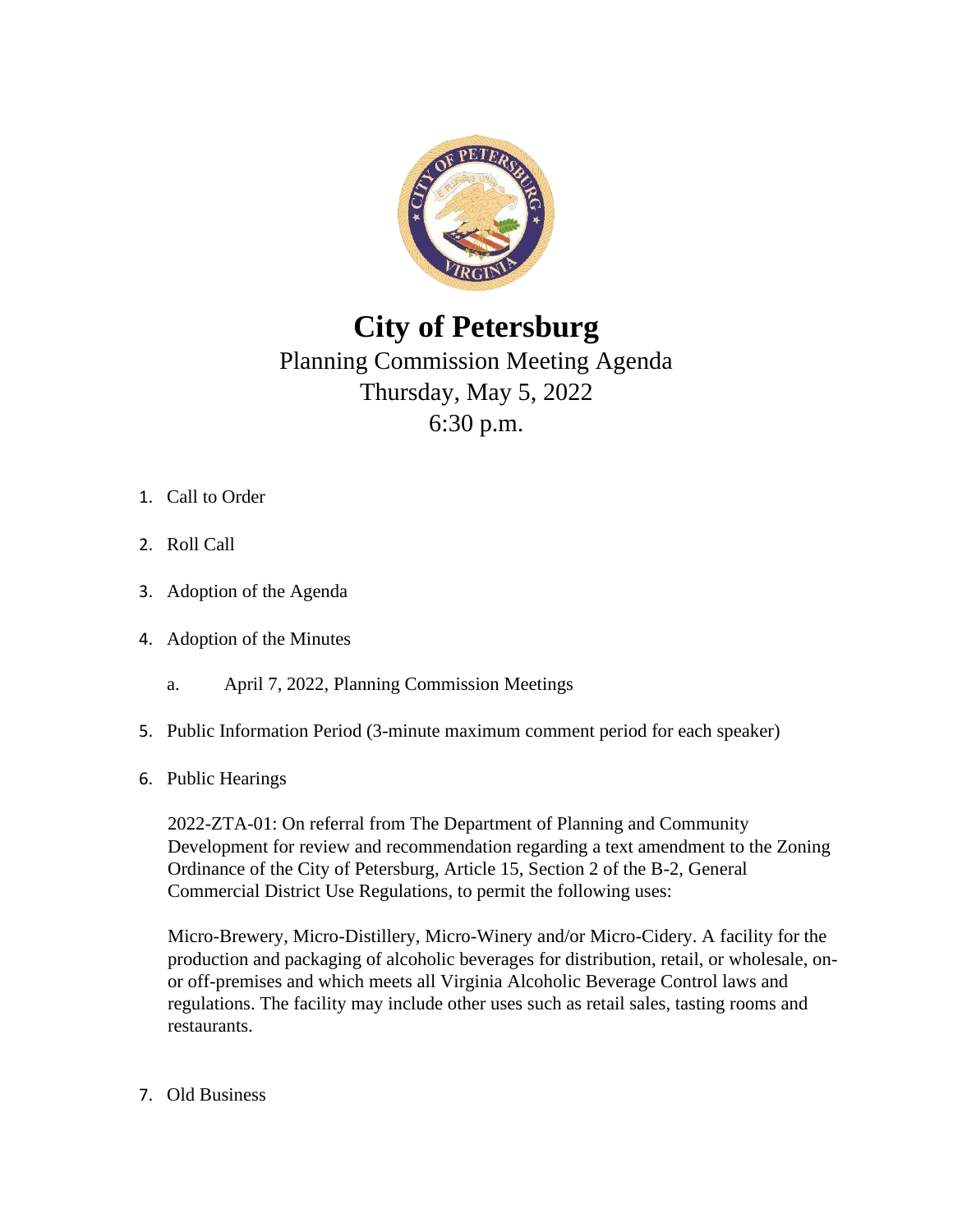

## **City of Petersburg**

## Planning Commission Meeting Agenda Thursday, May 5, 2022 6:30 p.m.

- 1. Call to Order
- 2. Roll Call
- 3. Adoption of the Agenda
- 4. Adoption of the Minutes
	- a. April 7, 2022, Planning Commission Meetings
- 5. Public Information Period (3-minute maximum comment period for each speaker)
- 6. Public Hearings

2022-ZTA-01: On referral from The Department of Planning and Community Development for review and recommendation regarding a text amendment to the Zoning Ordinance of the City of Petersburg, Article 15, Section 2 of the B-2, General Commercial District Use Regulations, to permit the following uses:

Micro-Brewery, Micro-Distillery, Micro-Winery and/or Micro-Cidery. A facility for the production and packaging of alcoholic beverages for distribution, retail, or wholesale, onor off-premises and which meets all Virginia Alcoholic Beverage Control laws and regulations. The facility may include other uses such as retail sales, tasting rooms and restaurants.

7. Old Business